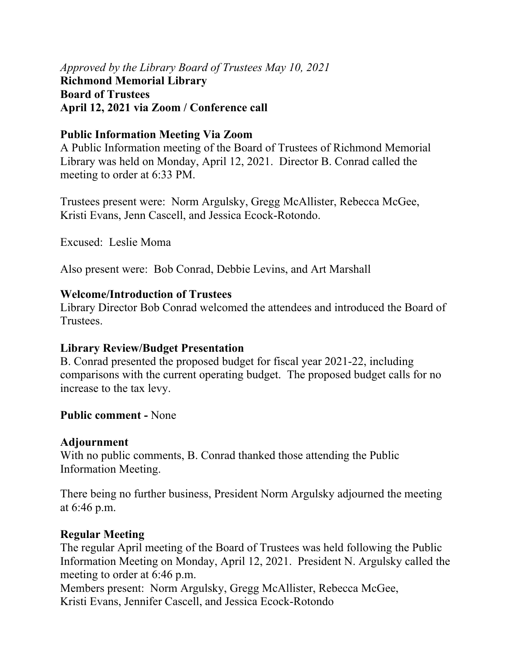*Approved by the Library Board of Trustees May 10, 2021* **Richmond Memorial Library Board of Trustees April 12, 2021 via Zoom / Conference call** 

### **Public Information Meeting Via Zoom**

A Public Information meeting of the Board of Trustees of Richmond Memorial Library was held on Monday, April 12, 2021. Director B. Conrad called the meeting to order at 6:33 PM.

Trustees present were: Norm Argulsky, Gregg McAllister, Rebecca McGee, Kristi Evans, Jenn Cascell, and Jessica Ecock-Rotondo.

Excused: Leslie Moma

Also present were: Bob Conrad, Debbie Levins, and Art Marshall

#### **Welcome/Introduction of Trustees**

Library Director Bob Conrad welcomed the attendees and introduced the Board of Trustees.

### **Library Review/Budget Presentation**

B. Conrad presented the proposed budget for fiscal year 2021-22, including comparisons with the current operating budget. The proposed budget calls for no increase to the tax levy.

### **Public comment -** None

### **Adjournment**

With no public comments, B. Conrad thanked those attending the Public Information Meeting.

There being no further business, President Norm Argulsky adjourned the meeting at 6:46 p.m.

### **Regular Meeting**

The regular April meeting of the Board of Trustees was held following the Public Information Meeting on Monday, April 12, 2021. President N. Argulsky called the meeting to order at 6:46 p.m.

Members present: Norm Argulsky, Gregg McAllister, Rebecca McGee, Kristi Evans, Jennifer Cascell, and Jessica Ecock-Rotondo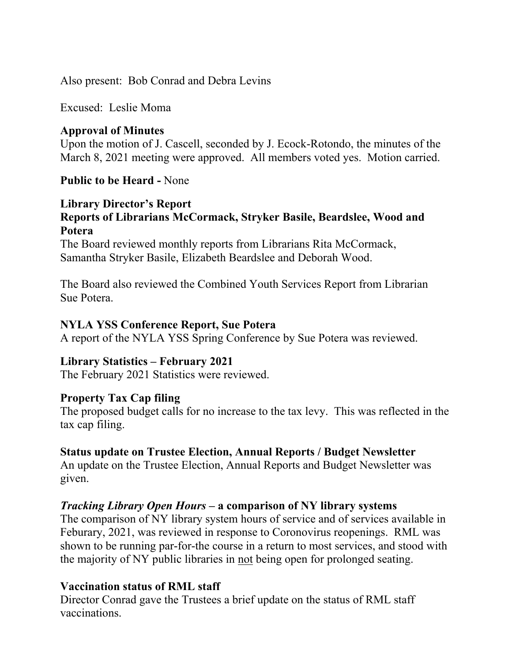Also present: Bob Conrad and Debra Levins

Excused: Leslie Moma

## **Approval of Minutes**

Upon the motion of J. Cascell, seconded by J. Ecock-Rotondo, the minutes of the March 8, 2021 meeting were approved. All members voted yes. Motion carried.

## **Public to be Heard -** None

### **Library Director's Report Reports of Librarians McCormack, Stryker Basile, Beardslee, Wood and Potera**

The Board reviewed monthly reports from Librarians Rita McCormack, Samantha Stryker Basile, Elizabeth Beardslee and Deborah Wood.

The Board also reviewed the Combined Youth Services Report from Librarian Sue Potera.

### **NYLA YSS Conference Report, Sue Potera**

A report of the NYLA YSS Spring Conference by Sue Potera was reviewed.

### **Library Statistics – February 2021**

The February 2021 Statistics were reviewed.

### **Property Tax Cap filing**

The proposed budget calls for no increase to the tax levy. This was reflected in the tax cap filing.

# **Status update on Trustee Election, Annual Reports / Budget Newsletter**

An update on the Trustee Election, Annual Reports and Budget Newsletter was given.

### *Tracking Library Open Hours* **– a comparison of NY library systems**

The comparison of NY library system hours of service and of services available in Feburary, 2021, was reviewed in response to Coronovirus reopenings. RML was shown to be running par-for-the course in a return to most services, and stood with the majority of NY public libraries in not being open for prolonged seating.

# **Vaccination status of RML staff**

Director Conrad gave the Trustees a brief update on the status of RML staff vaccinations.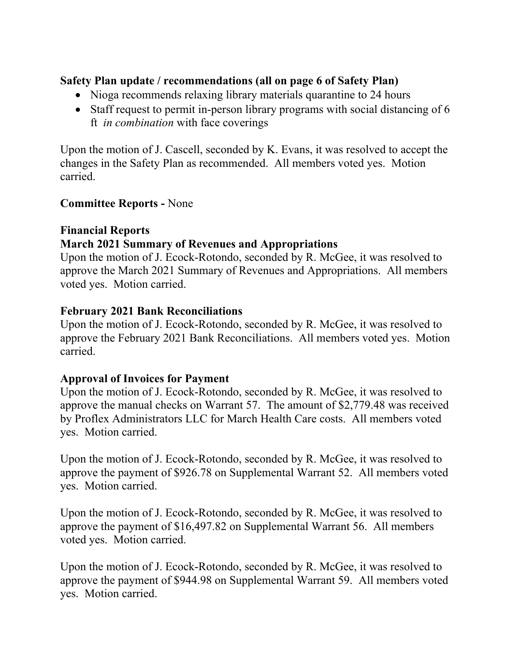# **Safety Plan update / recommendations (all on page 6 of Safety Plan)**

- Nioga recommends relaxing library materials quarantine to 24 hours
- Staff request to permit in-person library programs with social distancing of 6 ft *in combination* with face coverings

Upon the motion of J. Cascell, seconded by K. Evans, it was resolved to accept the changes in the Safety Plan as recommended. All members voted yes. Motion carried.

# **Committee Reports -** None

# **Financial Reports**

# **March 2021 Summary of Revenues and Appropriations**

Upon the motion of J. Ecock-Rotondo, seconded by R. McGee, it was resolved to approve the March 2021 Summary of Revenues and Appropriations. All members voted yes. Motion carried.

# **February 2021 Bank Reconciliations**

Upon the motion of J. Ecock-Rotondo, seconded by R. McGee, it was resolved to approve the February 2021 Bank Reconciliations. All members voted yes. Motion carried.

# **Approval of Invoices for Payment**

Upon the motion of J. Ecock-Rotondo, seconded by R. McGee, it was resolved to approve the manual checks on Warrant 57. The amount of \$2,779.48 was received by Proflex Administrators LLC for March Health Care costs. All members voted yes. Motion carried.

Upon the motion of J. Ecock-Rotondo, seconded by R. McGee, it was resolved to approve the payment of \$926.78 on Supplemental Warrant 52. All members voted yes. Motion carried.

Upon the motion of J. Ecock-Rotondo, seconded by R. McGee, it was resolved to approve the payment of \$16,497.82 on Supplemental Warrant 56. All members voted yes. Motion carried.

Upon the motion of J. Ecock-Rotondo, seconded by R. McGee, it was resolved to approve the payment of \$944.98 on Supplemental Warrant 59. All members voted yes. Motion carried.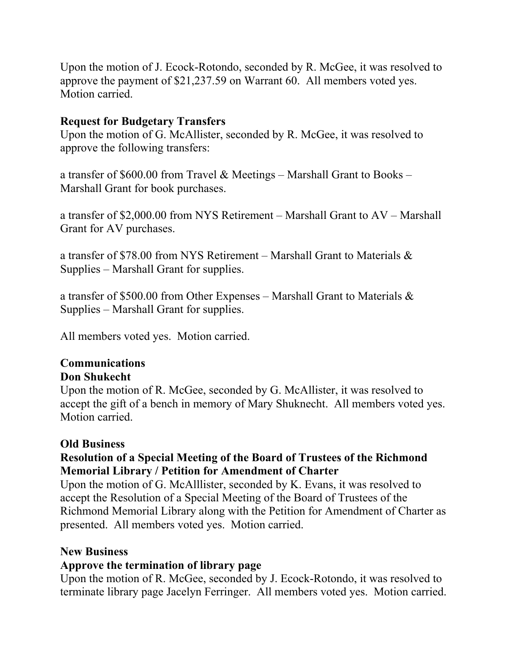Upon the motion of J. Ecock-Rotondo, seconded by R. McGee, it was resolved to approve the payment of \$21,237.59 on Warrant 60. All members voted yes. Motion carried.

## **Request for Budgetary Transfers**

Upon the motion of G. McAllister, seconded by R. McGee, it was resolved to approve the following transfers:

a transfer of \$600.00 from Travel & Meetings – Marshall Grant to Books – Marshall Grant for book purchases.

a transfer of \$2,000.00 from NYS Retirement – Marshall Grant to AV – Marshall Grant for AV purchases.

a transfer of \$78.00 from NYS Retirement – Marshall Grant to Materials & Supplies – Marshall Grant for supplies.

a transfer of \$500.00 from Other Expenses – Marshall Grant to Materials & Supplies – Marshall Grant for supplies.

All members voted yes. Motion carried.

#### **Communications Don Shukecht**

Upon the motion of R. McGee, seconded by G. McAllister, it was resolved to accept the gift of a bench in memory of Mary Shuknecht. All members voted yes. Motion carried.

### **Old Business**

## **Resolution of a Special Meeting of the Board of Trustees of the Richmond Memorial Library / Petition for Amendment of Charter**

Upon the motion of G. McAlllister, seconded by K. Evans, it was resolved to accept the Resolution of a Special Meeting of the Board of Trustees of the Richmond Memorial Library along with the Petition for Amendment of Charter as presented. All members voted yes. Motion carried.

### **New Business**

### **Approve the termination of library page**

Upon the motion of R. McGee, seconded by J. Ecock-Rotondo, it was resolved to terminate library page Jacelyn Ferringer. All members voted yes. Motion carried.